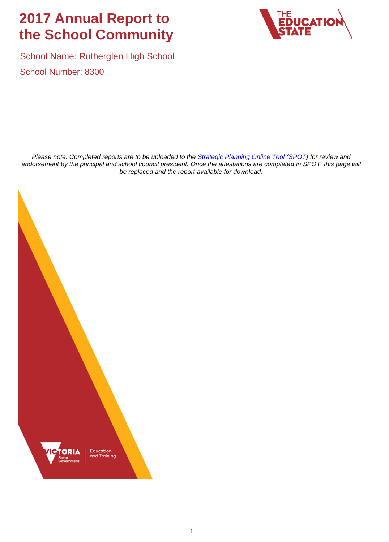# **2017 Annual Report to the School Community**



School Name: Rutherglen High School School Number: 8300

*Please note: Completed reports are to be uploaded to the [Strategic Planning Online Tool \(SPOT\)](https://apps.edustar.vic.edu.au/spot) for review and endorsement by the principal and school council president. Once the attestations are completed in SPOT, this page will be replaced and the report available for download.*

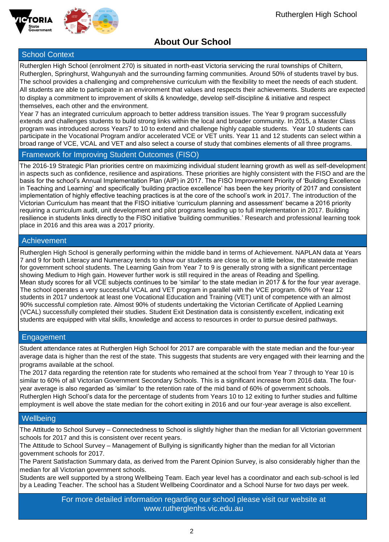



## **About Our School**

### School Context

Rutherglen High School (enrolment 270) is situated in north-east Victoria servicing the rural townships of Chiltern, Rutherglen, Springhurst, Wahgunyah and the surrounding farming communities. Around 50% of students travel by bus. The school provides a challenging and comprehensive curriculum with the flexibility to meet the needs of each student. All students are able to participate in an environment that values and respects their achievements. Students are expected to display a commitment to improvement of skills & knowledge, develop self-discipline & initiative and respect themselves, each other and the environment.

Year 7 has an integrated curriculum approach to better address transition issues. The Year 9 program successfully extends and challenges students to build strong links within the local and broader community. In 2015, a Master Class program was introduced across Years7 to 10 to extend and challenge highly capable students. Year 10 students can participate in the Vocational Program and/or accelerated VCE or VET units. Year 11 and 12 students can select within a broad range of VCE, VCAL and VET and also select a course of study that combines elements of all three programs.

### Framework for Improving Student Outcomes (FISO)

The 2016-19 Strategic Plan priorities centre on maximizing individual student learning growth as well as self-development in aspects such as confidence, resilience and aspirations. These priorities are highly consistent with the FISO and are the basis for the school's Annual Implementation Plan (AIP) in 2017. The FISO Improvement Priority of 'Building Excellence in Teaching and Learning' and specifically 'building practice excellence' has been the key priority of 2017 and consistent implementation of highly effective teaching practices is at the core of the school's work in 2017. The introduction of the Victorian Curriculum has meant that the FISO initiative 'curriculum planning and assessment' became a 2016 priority requiring a curriculum audit, unit development and pilot programs leading up to full implementation in 2017. Building resilience in students links directly to the FISO initiative 'building communities.' Research and professional learning took place in 2016 and this area was a 2017 priority.

### **Achievement**

Rutherglen High School is generally performing within the middle band in terms of Achievement. NAPLAN data at Years 7 and 9 for both Literacy and Numeracy tends to show our students are close to, or a little below, the statewide median for government school students. The Learning Gain from Year 7 to 9 is generally strong with a significant percentage showing Medium to High gain. However further work is still required in the areas of Reading and Spelling. Mean study scores for all VCE subjects continues to be 'similar' to the state median in 2017 & for the four year average. The school operates a very successful VCAL and VET program in parallel with the VCE program. 60% of Year 12 students in 2017 undertook at least one Vocational Education and Training (VET) unit of competence with an almost 90% successful completion rate. Almost 90% of students undertaking the Victorian Certificate of Applied Learning (VCAL) successfully completed their studies. Student Exit Destination data is consistently excellent, indicating exit students are equipped with vital skills, knowledge and access to resources in order to pursue desired pathways.

### **Engagement**

Student attendance rates at Rutherglen High School for 2017 are comparable with the state median and the four-year average data is higher than the rest of the state. This suggests that students are very engaged with their learning and the programs available at the school.

The 2017 data regarding the retention rate for students who remained at the school from Year 7 through to Year 10 is similar to 60% of all Victorian Government Secondary Schools. This is a significant increase from 2016 data. The fouryear average is also regarded as 'similar' to the retention rate of the mid band of 60% of government schools. Rutherglen High School's data for the percentage of students from Years 10 to 12 exiting to further studies and fulltime employment is well above the state median for the cohort exiting in 2016 and our four-year average is also excellent.

### **Wellbeing**

The Attitude to School Survey – Connectedness to School is slightly higher than the median for all Victorian government schools for 2017 and this is consistent over recent years.

The Attitude to School Survey – Management of Bullying is significantly higher than the median for all Victorian government schools for 2017.

The Parent Satisfaction Summary data, as derived from the Parent Opinion Survey, is also considerably higher than the median for all Victorian government schools.

Students are well supported by a strong Wellbeing Team. Each year level has a coordinator and each sub-school is led by a Leading Teacher. The school has a Student Wellbeing Coordinator and a School Nurse for two days per week.

> For more detailed information regarding our school please visit our website at www.rutherglenhs.vic.edu.au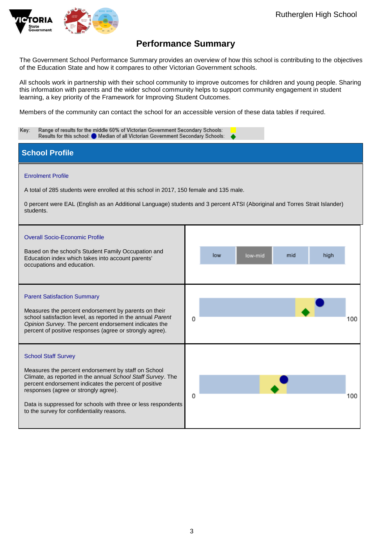

The Government School Performance Summary provides an overview of how this school is contributing to the objectives of the Education State and how it compares to other Victorian Government schools.

All schools work in partnership with their school community to improve outcomes for children and young people. Sharing this information with parents and the wider school community helps to support community engagement in student learning, a key priority of the Framework for Improving Student Outcomes.

Members of the community can contact the school for an accessible version of these data tables if required.

| Range of results for the middle 60% of Victorian Government Secondary Schools:<br>Key:<br>Results for this school: Median of all Victorian Government Secondary Schools:                                                                                                                                                                                         |                               |  |  |
|------------------------------------------------------------------------------------------------------------------------------------------------------------------------------------------------------------------------------------------------------------------------------------------------------------------------------------------------------------------|-------------------------------|--|--|
| <b>School Profile</b>                                                                                                                                                                                                                                                                                                                                            |                               |  |  |
| <b>Enrolment Profile</b><br>A total of 285 students were enrolled at this school in 2017, 150 female and 135 male.<br>0 percent were EAL (English as an Additional Language) students and 3 percent ATSI (Aboriginal and Torres Strait Islander)<br>students.                                                                                                    |                               |  |  |
| <b>Overall Socio-Economic Profile</b><br>Based on the school's Student Family Occupation and<br>Education index which takes into account parents'<br>occupations and education.                                                                                                                                                                                  | high<br>low<br>low-mid<br>mid |  |  |
| <b>Parent Satisfaction Summary</b><br>Measures the percent endorsement by parents on their<br>school satisfaction level, as reported in the annual Parent<br>Opinion Survey. The percent endorsement indicates the<br>percent of positive responses (agree or strongly agree).                                                                                   | 0<br>100                      |  |  |
| <b>School Staff Survey</b><br>Measures the percent endorsement by staff on School<br>Climate, as reported in the annual School Staff Survey. The<br>percent endorsement indicates the percent of positive<br>responses (agree or strongly agree).<br>Data is suppressed for schools with three or less respondents<br>to the survey for confidentiality reasons. | 0<br>100                      |  |  |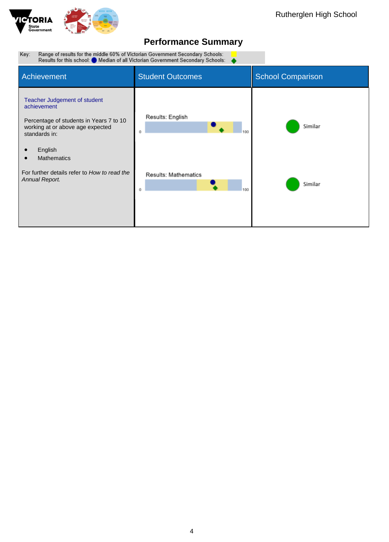

#### Range of results for the middle 60% of Victorian Government Secondary Schools:<br>Results for this school: ● Median of all Victorian Government Secondary Schools: Key:  $\bullet$

| Achievement                                                                                                                                                                  | <b>Student Outcomes</b>          | <b>School Comparison</b> |
|------------------------------------------------------------------------------------------------------------------------------------------------------------------------------|----------------------------------|--------------------------|
| Teacher Judgement of student<br>achievement<br>Percentage of students in Years 7 to 10<br>working at or above age expected<br>standards in:<br>English<br><b>Mathematics</b> | Results: English<br>100<br>Ű     | Similar                  |
| For further details refer to How to read the<br>Annual Report.                                                                                                               | Results: Mathematics<br>100<br>Ű | Similar                  |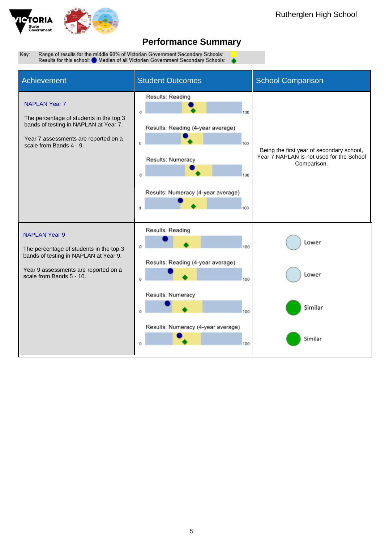

Range of results for the middle 60% of Victorian Government Secondary Schools: Key: Results for this school: Median of all Victorian Government Secondary Schools:

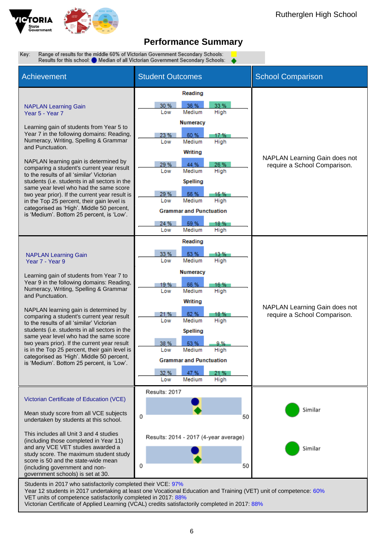

Range of results for the middle 60% of Victorian Government Secondary Schools: Key Results for this school: Median of all Victorian Government Secondary Schools:

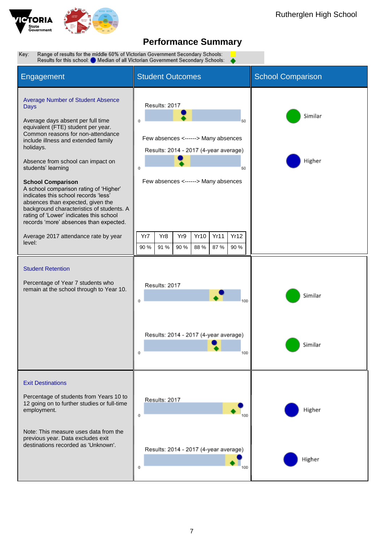

Range of results for the middle 60% of Victorian Government Secondary Schools: ●<br>Results for this school: ● Median of all Victorian Government Secondary Schools: ● Key:

| Engagement                                                                                                                                                                                                                                                                                                                                                                                                                                                                                                                                                                                                                    | <b>Student Outcomes</b>                                                                                                                                                                                                                                   | <b>School Comparison</b> |
|-------------------------------------------------------------------------------------------------------------------------------------------------------------------------------------------------------------------------------------------------------------------------------------------------------------------------------------------------------------------------------------------------------------------------------------------------------------------------------------------------------------------------------------------------------------------------------------------------------------------------------|-----------------------------------------------------------------------------------------------------------------------------------------------------------------------------------------------------------------------------------------------------------|--------------------------|
| <b>Average Number of Student Absence</b><br><b>Days</b><br>Average days absent per full time<br>equivalent (FTE) student per year.<br>Common reasons for non-attendance<br>include illness and extended family<br>holidays.<br>Absence from school can impact on<br>students' learning<br><b>School Comparison</b><br>A school comparison rating of 'Higher'<br>indicates this school records 'less'<br>absences than expected, given the<br>background characteristics of students. A<br>rating of 'Lower' indicates this school<br>records 'more' absences than expected.<br>Average 2017 attendance rate by year<br>level: | Results: 2017<br>50<br>Few absences <------> Many absences<br>Results: 2014 - 2017 (4-year average)<br>0<br>50<br>Few absences <------> Many absences<br>Yr8<br>Yr9<br><b>Yr10</b><br>Yr11<br>Yr12<br>Yr7<br>90 %<br>91 %<br>90 %<br>88 %<br>87 %<br>90 % | Similar<br>Higher        |
| <b>Student Retention</b><br>Percentage of Year 7 students who<br>remain at the school through to Year 10.                                                                                                                                                                                                                                                                                                                                                                                                                                                                                                                     | Results: 2017<br>0<br>Results: 2014 - 2017 (4-year average)<br>าบน                                                                                                                                                                                        | Similar<br>Similar       |
| <b>Exit Destinations</b><br>Percentage of students from Years 10 to<br>12 going on to further studies or full-time<br>employment.<br>Note: This measure uses data from the<br>previous year. Data excludes exit<br>destinations recorded as 'Unknown'.                                                                                                                                                                                                                                                                                                                                                                        | Results: 2017<br>0<br>Results: 2014 - 2017 (4-year average)<br>0                                                                                                                                                                                          | Higher<br>Higher         |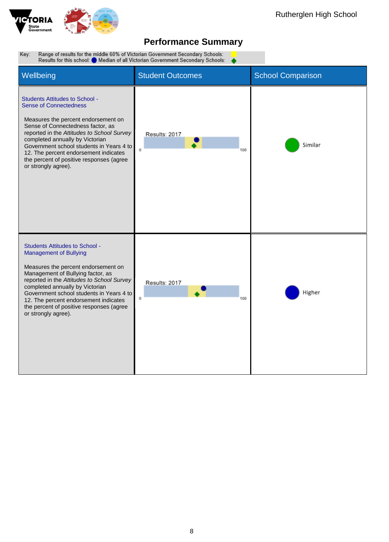

Range of results for the middle 60% of Victorian Government Secondary Schools:<br>Results for this school: ● Median of all Victorian Government Secondary Schools: Key:

| Wellbeing                                                                                                                                                                                                                                                                                                                                                                                   | <b>Student Outcomes</b>                     | <b>School Comparison</b> |
|---------------------------------------------------------------------------------------------------------------------------------------------------------------------------------------------------------------------------------------------------------------------------------------------------------------------------------------------------------------------------------------------|---------------------------------------------|--------------------------|
| <b>Students Attitudes to School -</b><br><b>Sense of Connectedness</b><br>Measures the percent endorsement on<br>Sense of Connectedness factor, as<br>reported in the Attitudes to School Survey<br>completed annually by Victorian<br>Government school students in Years 4 to<br>12. The percent endorsement indicates<br>the percent of positive responses (agree<br>or strongly agree). | Results: 2017<br>$\ddot{\mathbf{0}}$<br>100 | Similar                  |
| <b>Students Attitudes to School -</b><br><b>Management of Bullying</b><br>Measures the percent endorsement on<br>Management of Bullying factor, as<br>reported in the Attitudes to School Survey<br>completed annually by Victorian<br>Government school students in Years 4 to<br>12. The percent endorsement indicates<br>the percent of positive responses (agree<br>or strongly agree). | Results: 2017<br>Ű<br>100                   | Higher                   |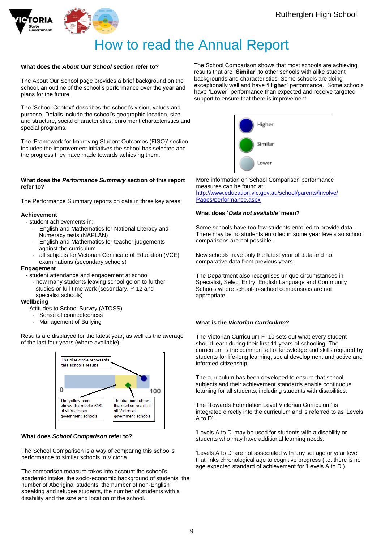



# How to read the Annual Report

### **What does the** *About Our School* **section refer to?**

The About Our School page provides a brief background on the school, an outline of the school's performance over the year and plans for the future.

The 'School Context' describes the school's vision, values and purpose. Details include the school's geographic location, size and structure, social characteristics, enrolment characteristics and special programs.

The 'Framework for Improving Student Outcomes (FISO)' section includes the improvement initiatives the school has selected and the progress they have made towards achieving them.

#### **What does the** *Performance Summary* **section of this report refer to?**

The Performance Summary reports on data in three key areas:

#### **Achievement**

- student achievements in:
	- English and Mathematics for National Literacy and Numeracy tests (NAPLAN)
	- English and Mathematics for teacher judgements against the curriculum
	- all subjects for Victorian Certificate of Education (VCE) examinations (secondary schools)

#### **Engagement**

- student attendance and engagement at school
	- how many students leaving school go on to further studies or full-time work (secondary, P-12 and specialist schools)

#### **Wellbeing**

- Attitudes to School Survey (ATOSS)
	- Sense of connectedness
	- Management of Bullying

Results are displayed for the latest year, as well as the average of the last four years (where available).



#### **What does** *School Comparison* **refer to?**

The School Comparison is a way of comparing this school's performance to similar schools in Victoria.

The comparison measure takes into account the school's academic intake, the socio-economic background of students, the number of Aboriginal students, the number of non-English speaking and refugee students, the number of students with a disability and the size and location of the school.

The School Comparison shows that most schools are achieving results that are **'Similar'** to other schools with alike student backgrounds and characteristics. Some schools are doing exceptionally well and have **'Higher'** performance. Some schools have **'Lower'** performance than expected and receive targeted support to ensure that there is improvement.



More information on School Comparison performance measures can be found at: [http://www.education.vic.gov.au/school/parents/involve/](http://www.education.vic.gov.au/school/parents/involve/Pages/performance.aspx) [Pages/performance.aspx](http://www.education.vic.gov.au/school/parents/involve/Pages/performance.aspx)

#### **What does '***Data not available'* **mean?**

Some schools have too few students enrolled to provide data. There may be no students enrolled in some year levels so school comparisons are not possible.

New schools have only the latest year of data and no comparative data from previous years.

The Department also recognises unique circumstances in Specialist, Select Entry, English Language and Community Schools where school-to-school comparisons are not appropriate.

#### **What is the** *Victorian Curriculum***?**

The Victorian Curriculum F–10 sets out what every student should learn during their first 11 years of schooling. The curriculum is the common set of knowledge and skills required by students for life-long learning, social development and active and informed citizenship.

The curriculum has been developed to ensure that school subjects and their achievement standards enable continuous learning for all students, including students with disabilities.

The 'Towards Foundation Level Victorian Curriculum' is integrated directly into the curriculum and is referred to as 'Levels A to D'.

'Levels A to D' may be used for students with a disability or students who may have additional learning needs.

'Levels A to D' are not associated with any set age or year level that links chronological age to cognitive progress (i.e. there is no age expected standard of achievement for 'Levels A to D').